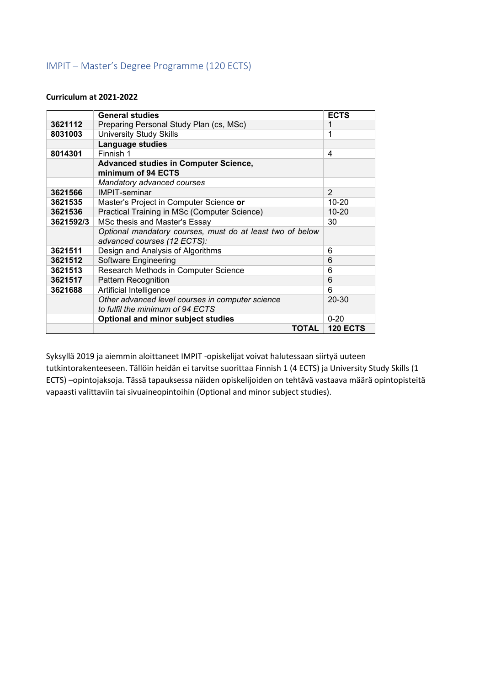## IMPIT – Master's Degree Programme (120 ECTS)

#### **Curriculum at 2021-2022**

|           | <b>General studies</b>                                                                   | <b>ECTS</b>     |
|-----------|------------------------------------------------------------------------------------------|-----------------|
| 3621112   | Preparing Personal Study Plan (cs, MSc)                                                  | 1               |
| 8031003   | <b>University Study Skills</b>                                                           | 1               |
|           | Language studies                                                                         |                 |
| 8014301   | Finnish 1                                                                                | 4               |
|           | <b>Advanced studies in Computer Science,</b><br>minimum of 94 ECTS                       |                 |
|           | Mandatory advanced courses                                                               |                 |
| 3621566   | <b>IMPIT-seminar</b>                                                                     | $\overline{2}$  |
| 3621535   | Master's Project in Computer Science or                                                  | $10 - 20$       |
| 3621536   | Practical Training in MSc (Computer Science)                                             | $10 - 20$       |
| 3621592/3 | MSc thesis and Master's Essay                                                            | 30              |
|           | Optional mandatory courses, must do at least two of below<br>advanced courses (12 ECTS): |                 |
| 3621511   | Design and Analysis of Algorithms                                                        | 6               |
| 3621512   | Software Engineering                                                                     | 6               |
| 3621513   | Research Methods in Computer Science                                                     | 6               |
| 3621517   | Pattern Recognition                                                                      | 6               |
| 3621688   | Artificial Intelligence                                                                  | 6               |
|           | Other advanced level courses in computer science<br>to fulfil the minimum of 94 ECTS     | $20 - 30$       |
|           | Optional and minor subject studies                                                       | $0 - 20$        |
|           | TOTAL                                                                                    | <b>120 ECTS</b> |

Syksyllä 2019 ja aiemmin aloittaneet IMPIT -opiskelijat voivat halutessaan siirtyä uuteen tutkintorakenteeseen. Tällöin heidän ei tarvitse suorittaa Finnish 1 (4 ECTS) ja University Study Skills (1 ECTS) –opintojaksoja. Tässä tapauksessa näiden opiskelijoiden on tehtävä vastaava määrä opintopisteitä vapaasti valittaviin tai sivuaineopintoihin (Optional and minor subject studies).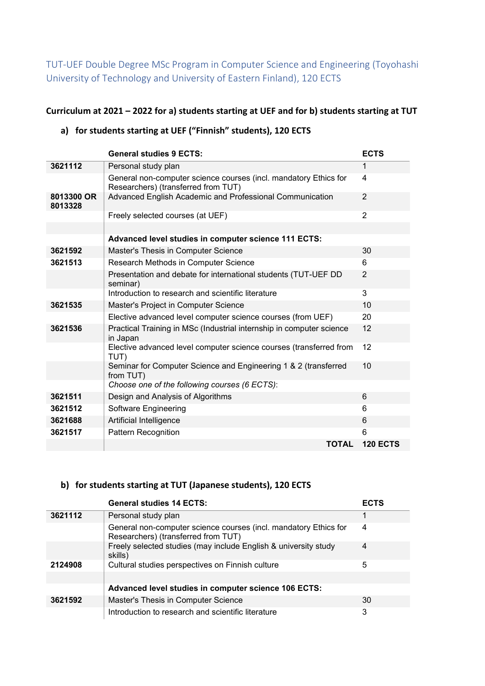TUT-UEF Double Degree MSc Program in Computer Science and Engineering (Toyohashi University of Technology and University of Eastern Finland), 120 ECTS

#### **Curriculum at 2021 – 2022 for a) students starting at UEF and for b) students starting at TUT**

# **a) for students starting at UEF ("Finnish" students), 120 ECTS**

|                       | <b>General studies 9 ECTS:</b>                                                                          | <b>ECTS</b>     |
|-----------------------|---------------------------------------------------------------------------------------------------------|-----------------|
| 3621112               | Personal study plan                                                                                     | 1               |
|                       | General non-computer science courses (incl. mandatory Ethics for<br>Researchers) (transferred from TUT) | 4               |
| 8013300 OR<br>8013328 | Advanced English Academic and Professional Communication                                                | $\overline{2}$  |
|                       | Freely selected courses (at UEF)                                                                        | $\overline{2}$  |
|                       |                                                                                                         |                 |
|                       | Advanced level studies in computer science 111 ECTS:                                                    |                 |
| 3621592               | Master's Thesis in Computer Science                                                                     | 30              |
| 3621513               | Research Methods in Computer Science                                                                    | 6               |
|                       | Presentation and debate for international students (TUT-UEF DD<br>seminar)                              | $\overline{2}$  |
|                       | Introduction to research and scientific literature                                                      | 3               |
| 3621535               | Master's Project in Computer Science                                                                    | 10              |
|                       | Elective advanced level computer science courses (from UEF)                                             | 20              |
| 3621536               | Practical Training in MSc (Industrial internship in computer science<br>in Japan                        | 12              |
|                       | Elective advanced level computer science courses (transferred from<br>TUT)                              | 12              |
|                       | Seminar for Computer Science and Engineering 1 & 2 (transferred<br>from TUT)                            | 10              |
|                       | Choose one of the following courses (6 ECTS):                                                           |                 |
| 3621511               | Design and Analysis of Algorithms                                                                       | 6               |
| 3621512               | Software Engineering                                                                                    | 6               |
| 3621688               | Artificial Intelligence                                                                                 | 6               |
| 3621517               | Pattern Recognition                                                                                     | 6               |
|                       | <b>TOTAL</b>                                                                                            | <b>120 ECTS</b> |

### **b) for students starting at TUT (Japanese students), 120 ECTS**

|         | <b>General studies 14 ECTS:</b>                                                                         | <b>ECTS</b> |
|---------|---------------------------------------------------------------------------------------------------------|-------------|
| 3621112 | Personal study plan                                                                                     | 1           |
|         | General non-computer science courses (incl. mandatory Ethics for<br>Researchers) (transferred from TUT) | 4           |
|         | Freely selected studies (may include English & university study<br>skills)                              | 4           |
| 2124908 | Cultural studies perspectives on Finnish culture                                                        | 5           |
|         |                                                                                                         |             |
|         | Advanced level studies in computer science 106 ECTS:                                                    |             |
| 3621592 | Master's Thesis in Computer Science                                                                     | 30          |
|         | Introduction to research and scientific literature                                                      | 3           |